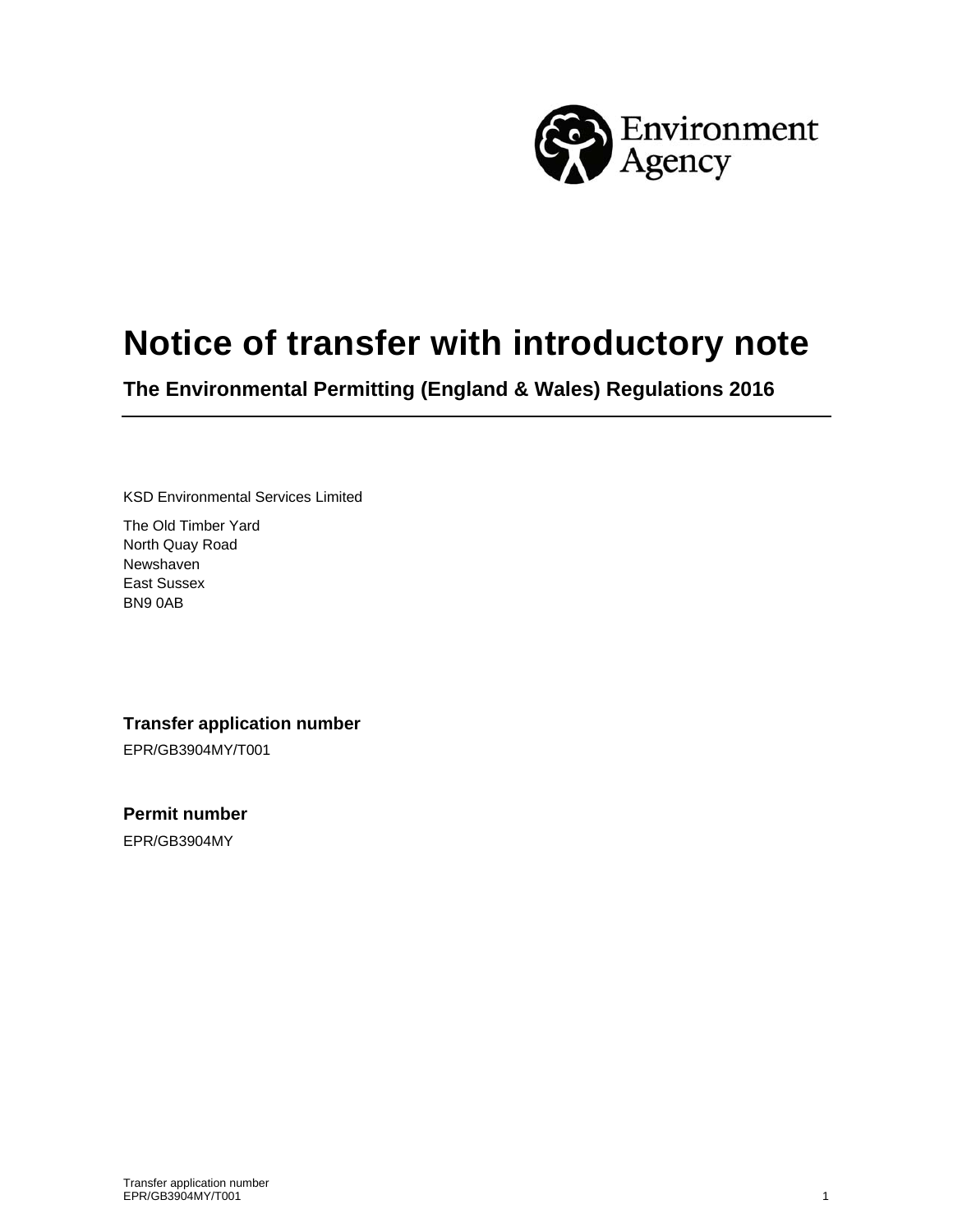

# **Notice of transfer with introductory note**

**The Environmental Permitting (England & Wales) Regulations 2016** 

KSD Environmental Services Limited

The Old Timber Yard North Quay Road Newshaven East Sussex BN9 0AB

### **Transfer application number**

EPR/GB3904MY/T001

**Permit number** 

EPR/GB3904MY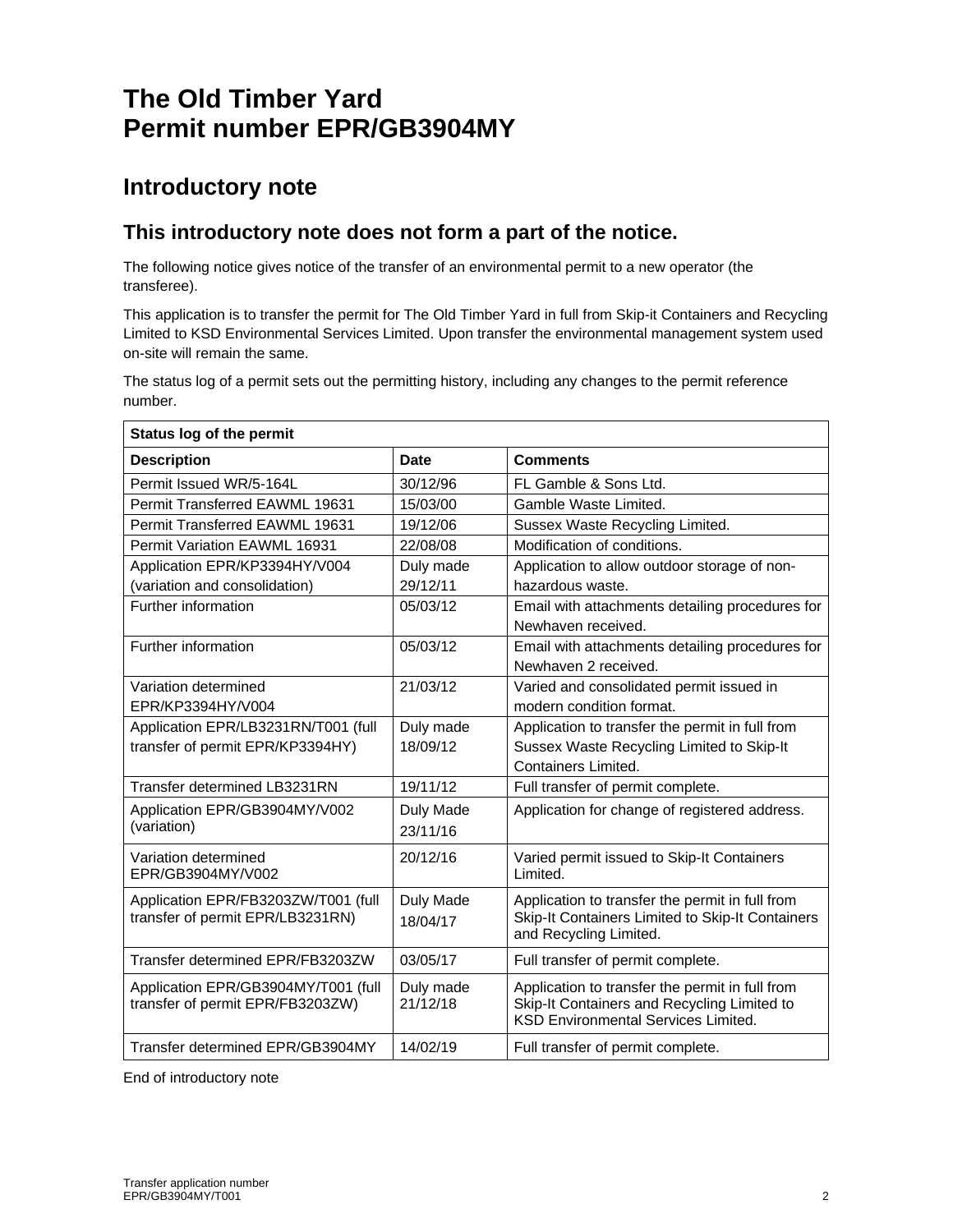# **The Old Timber Yard Permit number EPR/GB3904MY**

### **Introductory note**

### **This introductory note does not form a part of the notice.**

The following notice gives notice of the transfer of an environmental permit to a new operator (the transferee).

This application is to transfer the permit for The Old Timber Yard in full from Skip-it Containers and Recycling Limited to KSD Environmental Services Limited. Upon transfer the environmental management system used on-site will remain the same.

The status log of a permit sets out the permitting history, including any changes to the permit reference number.

| <b>Status log of the permit</b>       |             |                                                  |  |
|---------------------------------------|-------------|--------------------------------------------------|--|
| <b>Description</b>                    | <b>Date</b> | <b>Comments</b>                                  |  |
| Permit Issued WR/5-164L               | 30/12/96    | FL Gamble & Sons Ltd.                            |  |
| Permit Transferred EAWML 19631        | 15/03/00    | Gamble Waste Limited.                            |  |
| <b>Permit Transferred EAWML 19631</b> | 19/12/06    | Sussex Waste Recycling Limited.                  |  |
| <b>Permit Variation EAWML 16931</b>   | 22/08/08    | Modification of conditions.                      |  |
| Application EPR/KP3394HY/V004         | Duly made   | Application to allow outdoor storage of non-     |  |
| (variation and consolidation)         | 29/12/11    | hazardous waste.                                 |  |
| Further information                   | 05/03/12    | Email with attachments detailing procedures for  |  |
|                                       |             | Newhaven received.                               |  |
| Further information                   | 05/03/12    | Email with attachments detailing procedures for  |  |
|                                       |             | Newhaven 2 received.                             |  |
| Variation determined                  | 21/03/12    | Varied and consolidated permit issued in         |  |
| EPR/KP3394HY/V004                     |             | modern condition format.                         |  |
| Application EPR/LB3231RN/T001 (full   | Duly made   | Application to transfer the permit in full from  |  |
| transfer of permit EPR/KP3394HY)      | 18/09/12    | Sussex Waste Recycling Limited to Skip-It        |  |
|                                       |             | <b>Containers Limited.</b>                       |  |
| Transfer determined LB3231RN          | 19/11/12    | Full transfer of permit complete.                |  |
| Application EPR/GB3904MY/V002         | Duly Made   | Application for change of registered address.    |  |
| (variation)                           | 23/11/16    |                                                  |  |
| Variation determined                  | 20/12/16    | Varied permit issued to Skip-It Containers       |  |
| EPR/GB3904MY/V002                     |             | Limited.                                         |  |
| Application EPR/FB3203ZW/T001 (full   | Duly Made   | Application to transfer the permit in full from  |  |
| transfer of permit EPR/LB3231RN)      | 18/04/17    | Skip-It Containers Limited to Skip-It Containers |  |
|                                       |             | and Recycling Limited.                           |  |
| Transfer determined EPR/FB3203ZW      | 03/05/17    | Full transfer of permit complete.                |  |
| Application EPR/GB3904MY/T001 (full   | Duly made   | Application to transfer the permit in full from  |  |
| transfer of permit EPR/FB3203ZW)      | 21/12/18    | Skip-It Containers and Recycling Limited to      |  |
|                                       |             | <b>KSD Environmental Services Limited.</b>       |  |
| Transfer determined EPR/GB3904MY      | 14/02/19    | Full transfer of permit complete.                |  |

End of introductory note